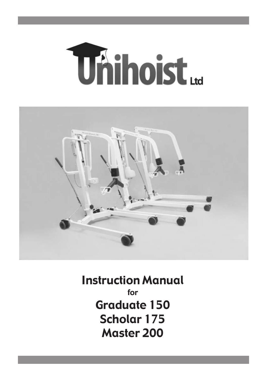



Instruction Manual for Graduate 150 Scholar 175 Master 200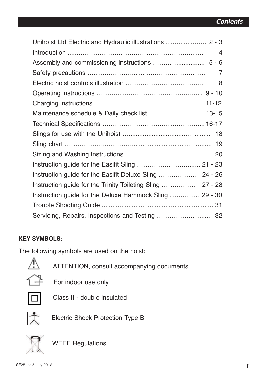| Unihoist Ltd Electric and Hydraulic illustrations  2 - 3   |
|------------------------------------------------------------|
| 4                                                          |
|                                                            |
| 7                                                          |
| 8                                                          |
|                                                            |
|                                                            |
| Maintenance schedule & Daily check list  13-15             |
|                                                            |
|                                                            |
|                                                            |
|                                                            |
| Instruction guide for the Easifit Sling  21 - 23           |
| Instruction guide for the Easifit Deluxe Sling  24 - 26    |
| Instruction guide for the Trinity Toileting Sling  27 - 28 |
| Instruction guide for the Deluxe Hammock Sling  29 - 30    |
|                                                            |
|                                                            |

### **KEY SYMBOLS:**

The following symbols are used on the hoist:

Ą.

ATTENTION, consult accompanying documents.

 $F$  For indoor use only.



Class II - double insulated



Electric Shock Protection Type B



WEEE Regulations.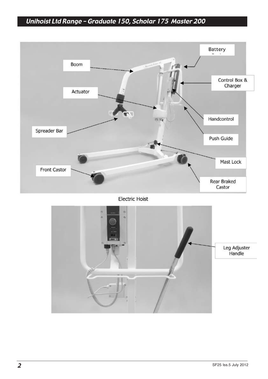# Unihoist Ltd Range – Graduate 150, Scholar 175 Master 200



Electric Hoist

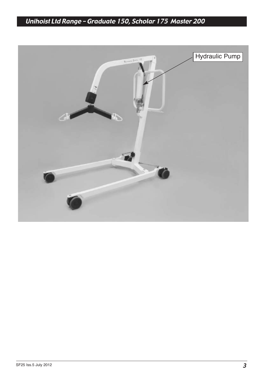# Unihoist Ltd Range – Graduate 150, Scholar 175 Master 200

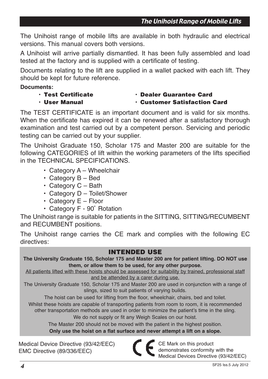The Unihoist range of mobile lifts are available in both hydraulic and electrical versions. This manual covers both versions.

A Unihoist will arrive partially dismantled. It has been fully assembled and load tested at the factory and is supplied with a certificate of testing.

Documents relating to the lift are supplied in a wallet packed with each lift. They should be kept for future reference.

### **Documents:**

- 
- **Test Certificate Dealer Guarantee Card**
- **User Manual Customer Satisfaction Card**

The TEST CERTIFICATE is an important document and is valid for six months. When the certificate has expired it can be renewed after a satisfactory thorough examination and test carried out by a competent person. Servicing and periodic testing can be carried out by your supplier.

The Unihoist Graduate 150, Scholar 175 and Master 200 are suitable for the following CATEGORIES of lift within the working parameters of the lifts specified in the TECHNICAL SPECIFICATIONS.

- Category A Wheelchair
- Category B Bed
- Category C Bath
- Category D Toilet/Shower
- Category E Floor
- Category F 90˚ Rotation

The Unihoist range is suitable for patients in the SITTING, SITTING/RECUMBENT and RECUMBENT positions.

The Unihoist range carries the CE mark and complies with the following EC directives:

### **INTENDED USE**

**The University Graduate 150, Scholar 175 and Master 200 are for patient lifting. DO NOT use them, or allow them to be used, for any other purpose.**

All patients lifted with these hoists should be assessed for suitability by trained, professional staff and be attended by a carer during use.

The University Graduate 150, Scholar 175 and Master 200 are used in conjunction with a range of slings, sized to suit patients of varying builds.

The hoist can be used for lifting from the floor, wheelchair, chairs, bed and toilet.

Whilst these hoists are capable of transporting patients from room to room, it is recommended other transportation methods are used in order to minimize the patient's time in the sling.

We do not supply or fit any Weigh Scales on our hoist.

The Master 200 should not be moved with the patient in the highest position.

### **Only use the hoist on a flat surface and never attempt a lift on a slope.**

Medical Device Directive (93/42/EEC) EMC Directive (89/336/EEC)

CE Mark on this product demonstrates conformity with the Medical Devices Directive (93/42/EEC)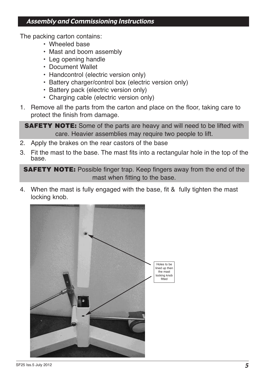### Assembly and Commissioning Instructions

The packing carton contains:

- Wheeled base
- Mast and boom assembly
- Leg opening handle
- Document Wallet
- Handcontrol (electric version only)
- Battery charger/control box (electric version only)
- Battery pack (electric version only)
- Charging cable (electric version only)
- 1. Remove all the parts from the carton and place on the floor, taking care to protect the finish from damage.

**SAFETY NOTE:** Some of the parts are heavy and will need to be lifted with care. Heavier assemblies may require two people to lift.

- 2. Apply the brakes on the rear castors of the base
- 3. Fit the mast to the base. The mast fits into a rectangular hole in the top of the base.

**SAFETY NOTE:** Possible finger trap. Keep fingers away from the end of the mast when fitting to the base.

4. When the mast is fully engaged with the base, fit & fully tighten the mast locking knob.

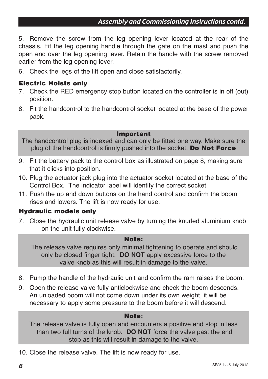### Assembly and Commissioning Instructions contd.

5. Remove the screw from the leg opening lever located at the rear of the chassis. Fit the leg opening handle through the gate on the mast and push the open end over the leg opening lever. Retain the handle with the screw removed earlier from the leg opening lever.

6. Check the legs of the lift open and close satisfactorily.

### **Electric Hoists only**

- 7. Check the RED emergency stop button located on the controller is in off (out) position.
- 8. Fit the handcontrol to the handcontrol socket located at the base of the power pack.

#### **Important**

The handcontrol plug is indexed and can only be fitted one way. Make sure the plug of the handcontrol is firmly pushed into the socket. **Do Not Force**

- 9. Fit the battery pack to the control box as illustrated on page 8, making sure that it clicks into position.
- 10. Plug the actuator jack plug into the actuator socket located at the base of the Control Box. The indicator label will identify the correct socket.
- 11. Push the up and down buttons on the hand control and confirm the boom rises and lowers. The lift is now ready for use.

#### **Hydraulic models only**

7. Close the hydraulic unit release valve by turning the knurled aluminium knob on the unit fully clockwise.

#### **Note:**

The release valve requires only minimal tightening to operate and should only be closed finger tight. **DO NOT** apply excessive force to the valve knob as this will result in damage to the valve.

- 8. Pump the handle of the hydraulic unit and confirm the ram raises the boom.
- 9. Open the release valve fully anticlockwise and check the boom descends. An unloaded boom will not come down under its own weight, it will be necessary to apply some pressure to the boom before it will descend.

#### **Note:**

The release valve is fully open and encounters a positive end stop in less than two full turns of the knob. **DO NOT** force the valve past the end stop as this will result in damage to the valve.

10. Close the release valve. The lift is now ready for use.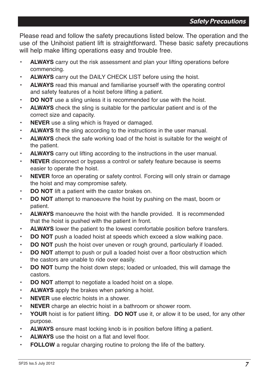Please read and follow the safety precautions listed below. The operation and the use of the Unihoist patient lift is straightforward. These basic safety precautions will help make lifting operations easy and trouble free.

- **ALWAYS** carry out the risk assessment and plan your lifting operations before commencing.
- **ALWAYS** carry out the DAILY CHECK LIST before using the hoist.
- **ALWAYS** read this manual and familiarise yourself with the operating control and safety features of a hoist before lifting a patient.
- **DO NOT** use a sling unless it is recommended for use with the hoist.
- **ALWAYS** check the sling is suitable for the particular patient and is of the correct size and capacity.
- **NEVER** use a sling which is frayed or damaged.
- **ALWAYS** fit the sling according to the instructions in the user manual.
- **ALWAYS** check the safe working load of the hoist is suitable for the weight of the patient.
- **ALWAYS** carry out lifting according to the instructions in the user manual.
- **NEVER** disconnect or bypass a control or safety feature because is seems easier to operate the hoist.
- **NEVER** force an operating or safety control. Forcing will only strain or damage the hoist and may compromise safety.
- **DO NOT** lift a patient with the castor brakes on.
- **DO NOT** attempt to manoeuvre the hoist by pushing on the mast, boom or patient.
- **ALWAYS** manoeuvre the hoist with the handle provided. It is recommended that the hoist is pushed with the patient in front.
- **ALWAYS** lower the patient to the lowest comfortable position before transfers.
- **DO NOT** push a loaded hoist at speeds which exceed a slow walking pace.
- **DO NOT** push the hoist over uneven or rough ground, particularly if loaded.
- **DO NOT** attempt to push or pull a loaded hoist over a floor obstruction which the castors are unable to ride over easily.
- **DO NOT** bump the hoist down steps; loaded or unloaded, this will damage the castors.
- **DO NOT** attempt to negotiate a loaded hoist on a slope.
- **ALWAYS** apply the brakes when parking a hoist.
- **NEVER** use electric hoists in a shower.
- **NEVER** charge an electric hoist in a bathroom or shower room.
- **YOUR** hoist is for patient lifting. **DO NOT** use it, or allow it to be used, for any other purpose.
- **ALWAYS** ensure mast locking knob is in position before lifting a patient.
- **ALWAYS** use the hoist on a flat and level floor.
- **FOLLOW** a regular charging routine to prolong the life of the battery.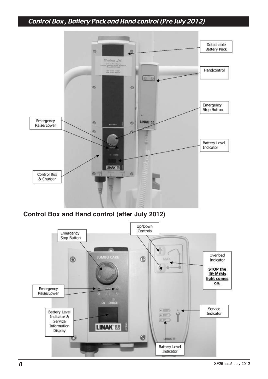# Control Box , Battery Pack and Hand control (Pre July 2012)



**Control Box and Hand control (after July 2012)**

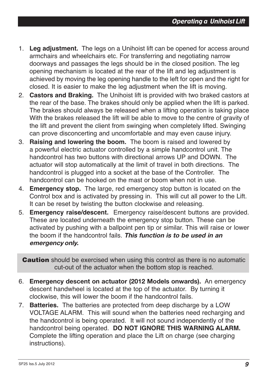- 1. **Leg adjustment.** The legs on a Unihoist lift can be opened for access around armchairs and wheelchairs etc. For transferring and negotiating narrow doorways and passages the legs should be in the closed position. The leg opening mechanism is located at the rear of the lift and leg adjustment is achieved by moving the leg opening handle to the left for open and the right for closed. It is easier to make the leg adjustment when the lift is moving.
- 2. **Castors and Braking.** The Unihoist lift is provided with two braked castors at the rear of the base. The brakes should only be applied when the lift is parked. The brakes should always be released when a lifting operation is taking place With the brakes released the lift will be able to move to the centre of gravity of the lift and prevent the client from swinging when completely lifted. Swinging can prove disconcerting and uncomfortable and may even cause injury.
- 3. **Raising and lowering the boom.** The boom is raised and lowered by a powerful electric actuator controlled by a simple handcontrol unit. The handcontrol has two buttons with directional arrows UP and DOWN. The actuator will stop automatically at the limit of travel in both directions. The handcontrol is plugged into a socket at the base of the Controller. The handcontrol can be hooked on the mast or boom when not in use.
- 4. **Emergency stop.** The large, red emergency stop button is located on the Control box and is activated by pressing in. This will cut all power to the Lift. It can be reset by twisting the button clockwise and releasing.
- 5. **Emergency raise/descent.** Emergency raise/descent buttons are provided. These are located underneath the emergency stop button. These can be activated by pushing with a ballpoint pen tip or similar. This will raise or lower the boom if the handcontrol fails. **This function is to be used in an emergency only.**

**Caution** should be exercised when using this control as there is no automatic cut-out of the actuator when the bottom stop is reached.

- 6. **Emergency descent on actuator (2012 Models onwards).** An emergency descent handwheel is located at the top of the actuator. By turning it clockwise, this will lower the boom if the handcontrol fails.
- 7. **Batteries.** The batteries are protected from deep discharge by a LOW VOLTAGE ALARM. This will sound when the batteries need recharging and the handcontrol is being operated. It will not sound independently of the handcontrol being operated. **DO NOT IGNORE THIS WARNING ALARM.**  Complete the lifting operation and place the Lift on charge (see charging instructions).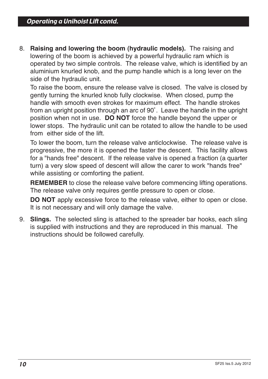8. **Raising and lowering the boom (hydraulic models).** The raising and lowering of the boom is achieved by a powerful hydraulic ram which is operated by two simple controls. The release valve, which is identified by an aluminium knurled knob, and the pump handle which is a long lever on the side of the hydraulic unit.

To raise the boom, ensure the release valve is closed. The valve is closed by gently turning the knurled knob fully clockwise. When closed, pump the handle with smooth even strokes for maximum effect. The handle strokes from an upright position through an arc of 90˚. Leave the handle in the upright position when not in use. **DO NOT** force the handle beyond the upper or lower stops. The hydraulic unit can be rotated to allow the handle to be used from either side of the lift.

To lower the boom, turn the release valve anticlockwise. The release valve is progressive, the more it is opened the faster the descent. This facility allows for a "hands free" descent. If the release valve is opened a fraction (a quarter turn) a very slow speed of descent will allow the carer to work "hands free" while assisting or comforting the patient.

**REMEMBER** to close the release valve before commencing lifting operations. The release valve only requires gentle pressure to open or close.

**DO NOT** apply excessive force to the release valve, either to open or close. It is not necessary and will only damage the valve.

9. **Slings.** The selected sling is attached to the spreader bar hooks, each sling is supplied with instructions and they are reproduced in this manual. The instructions should be followed carefully.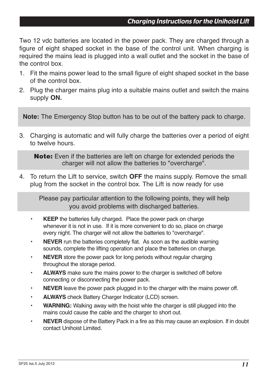Two 12 vdc batteries are located in the power pack. They are charged through a figure of eight shaped socket in the base of the control unit. When charging is required the mains lead is plugged into a wall outlet and the socket in the base of the control box.

- 1. Fit the mains power lead to the small figure of eight shaped socket in the base of the control box.
- 2. Plug the charger mains plug into a suitable mains outlet and switch the mains supply **ON.**

**Note:** The Emergency Stop button has to be out of the battery pack to charge.

3. Charging is automatic and will fully charge the batteries over a period of eight to twelve hours.

**Note:** Even if the batteries are left on charge for extended periods the charger will not allow the batteries to "overcharge".

4. To return the Lift to service, switch **OFF** the mains supply. Remove the small plug from the socket in the control box. The Lift is now ready for use

Please pay particular attention to the following points, they will help you avoid problems with discharged batteries.

- **KEEP** the batteries fully charged. Place the power pack on charge whenever it is not in use. If it is more convenient to do so, place on charge every night. The charger will not allow the batteries to "overcharge".
- **NEVER** run the batteries completely flat. As soon as the audible warning sounds, complete the lifting operation and place the batteries on charge.
- **NEVER** store the power pack for long periods without regular charging throughout the storage period.
- **ALWAYS** make sure the mains power to the charger is switched off before connecting or disconnecting the power pack.
- **NEVER** leave the power pack plugged in to the charger with the mains power off.
- **ALWAYS** check Battery Charger Indicator (LCD) screen.
- **WARNING:** Walking away with the hoist whle the charger is still plugged into the mains could cause the cable and the charger to short out.
- **NEVER** dispose of the Battery Pack in a fire as this may cause an explosion. If in doubt contact Unihoist Limited.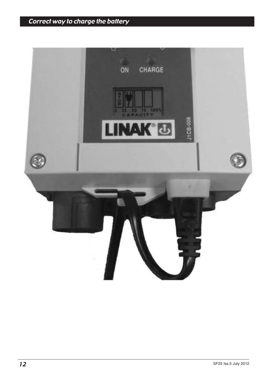# Correct way to charge the battery

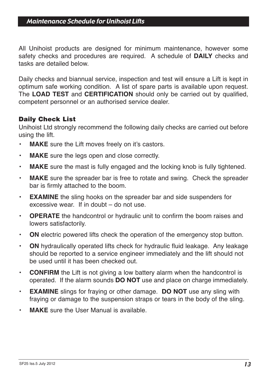### Maintenance Schedule for Unihoist Lifts

All Unihoist products are designed for minimum maintenance, however some safety checks and procedures are required. A schedule of **DAILY** checks and tasks are detailed below.

Daily checks and biannual service, inspection and test will ensure a Lift is kept in optimum safe working condition. A list of spare parts is available upon request. The **LOAD TEST** and **CERTIFICATION** should only be carried out by qualified, competent personnel or an authorised service dealer.

### **Daily Check List**

Unihoist Ltd strongly recommend the following daily checks are carried out before using the lift.

- **MAKE** sure the Lift moves freely on it's castors.
- **MAKE** sure the legs open and close correctly.
- **MAKE** sure the mast is fully engaged and the locking knob is fully tightened.
- **MAKE** sure the spreader bar is free to rotate and swing. Check the spreader bar is firmly attached to the boom.
- **EXAMINE** the sling hooks on the spreader bar and side suspenders for excessive wear. If in doubt – do not use.
- **OPERATE** the handcontrol or hydraulic unit to confirm the boom raises and lowers satisfactorily.
- **ON** electric powered lifts check the operation of the emergency stop button.
- **ON** hydraulically operated lifts check for hydraulic fluid leakage. Any leakage should be reported to a service engineer immediately and the lift should not be used until it has been checked out.
- **CONFIRM** the Lift is not giving a low battery alarm when the handcontrol is operated. If the alarm sounds **DO NOT** use and place on charge immediately.
- **EXAMINE** slings for fraying or other damage. **DO NOT** use any sling with fraying or damage to the suspension straps or tears in the body of the sling.
- **MAKE** sure the User Manual is available.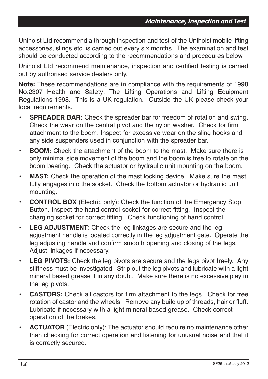Unihoist Ltd recommend a through inspection and test of the Unihoist mobile lifting accessories, slings etc. is carried out every six months. The examination and test should be conducted according to the recommendations and procedures below.

Unihoist Ltd recommend maintenance, inspection and certified testing is carried out by authorised service dealers only.

**Note:** These recommendations are in compliance with the requirements of 1998 No.2307 Health and Safety: The Lifting Operations and Lifting Equipment Regulations 1998. This is a UK regulation. Outside the UK please check your local requirements.

- **SPREADER BAR:** Check the spreader bar for freedom of rotation and swing. Check the wear on the central pivot and the nylon washer. Check for firm attachment to the boom. Inspect for excessive wear on the sling hooks and any side suspenders used in conjunction with the spreader bar.
- **BOOM:** Check the attachment of the boom to the mast. Make sure there is only minimal side movement of the boom and the boom is free to rotate on the boom bearing. Check the actuator or hydraulic unit mounting on the boom.
- **MAST:** Check the operation of the mast locking device. Make sure the mast fully engages into the socket. Check the bottom actuator or hydraulic unit mounting.
- **CONTROL BOX** (Electric only): Check the function of the Emergency Stop Button. Inspect the hand control socket for correct fitting. Inspect the charging socket for correct fitting. Check functioning of hand control.
- **LEG ADJUSTMENT**: Check the leg linkages are secure and the leg adjustment handle is located correctly in the leg adjustment gate. Operate the leg adjusting handle and confirm smooth opening and closing of the legs. Adjust linkages if necessary.
- **LEG PIVOTS:** Check the leg pivots are secure and the legs pivot freely. Any stiffness must be investigated. Strip out the leg pivots and lubricate with a light mineral based grease if in any doubt. Make sure there is no excessive play in the leg pivots.
- **CASTORS:** Check all castors for firm attachment to the legs. Check for free rotation of castor and the wheels. Remove any build up of threads, hair or fluff. Lubricate if necessary with a light mineral based grease. Check correct operation of the brakes.
- **ACTUATOR** (Electric only): The actuator should require no maintenance other than checking for correct operation and listening for unusual noise and that it is correctly secured.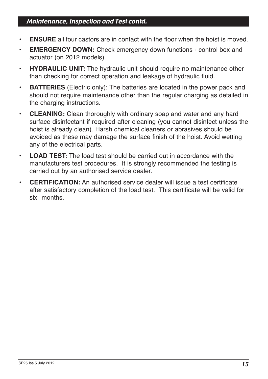### Maintenance, Inspection and Test contd.

- **ENSURE** all four castors are in contact with the floor when the hoist is moved.
- **EMERGENCY DOWN:** Check emergency down functions control box and actuator (on 2012 models).
- **HYDRAULIC UNIT:** The hydraulic unit should require no maintenance other than checking for correct operation and leakage of hydraulic fluid.
- **BATTERIES** (Electric only): The batteries are located in the power pack and should not require maintenance other than the regular charging as detailed in the charging instructions.
- **CLEANING:** Clean thoroughly with ordinary soap and water and any hard surface disinfectant if required after cleaning (you cannot disinfect unless the hoist is already clean). Harsh chemical cleaners or abrasives should be avoided as these may damage the surface finish of the hoist. Avoid wetting any of the electrical parts.
- **LOAD TEST:** The load test should be carried out in accordance with the manufacturers test procedures. It is strongly recommended the testing is carried out by an authorised service dealer.
- **CERTIFICATION:** An authorised service dealer will issue a test certificate after satisfactory completion of the load test. This certificate will be valid for six months.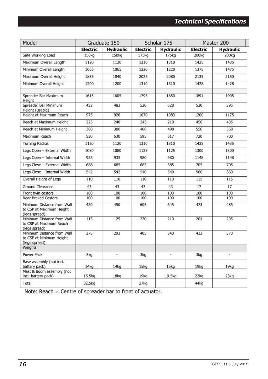| Model                                                                   | Graduate 150      |                   | Scholar 175     |                  | Master 200        |                  |
|-------------------------------------------------------------------------|-------------------|-------------------|-----------------|------------------|-------------------|------------------|
|                                                                         | <b>Electric</b>   | <b>Hydraulic</b>  | <b>Electric</b> | <b>Hydraulic</b> | <b>Electric</b>   | <b>Hydraulic</b> |
| Safe Working Load                                                       | 150 <sub>kg</sub> | 150 <sub>kg</sub> | 175kg           | 175kg            | 200 <sub>kg</sub> | 200kg            |
| Maximum Overall Length                                                  | 1120              | 1120              | 1310            | 1310             | 1435              | 1435             |
| Minimum Overall Length                                                  | 1065              | 1065              | 1220            | 1220             | 1375              | 1475             |
| Maximum Overall Height                                                  | 1835              | 1840              | 2025            | 2080             | 2135              | 2150             |
| Minimum Overall Height                                                  | 1200              | 1200              | 1310            | 1310             | 1428              | 1428             |
| Spreader Bar Maximum<br>Height                                          | 1615              | 1605              | 1795            | 1850             | 1891              | 1905             |
| Spreader Bar Minimum<br>Height (usable)                                 | 432               | 483               | 530             | 628              | 530               | 395              |
| Height at Maximum Reach                                                 | 975               | 920               | 1070            | 1083             | 1200              | 1175             |
| Reach at Maximum Height                                                 | 225               | 240               | 245             | 210              | 450               | 435              |
| Reach at Minimum Height                                                 | 380               | 380               | 400             | 498              | 550               | 360              |
| Maximum Reach                                                           | 530               | 530               | 595             | 617              | 720               | 700              |
| <b>Turning Radius</b>                                                   | 1120              | 1120              | 1310            | 1310             | 1435              | 1435             |
| Legs Open - External Width                                              | 1080              | 1080              | 1125            | 1125             | 1300              | 1300             |
| Legs Open - Internal Width                                              | 935               | 935               | 980             | 980              | 1148              | 1148             |
| Legs Close - External Width                                             | 688               | 685               | 685             | 685              | 705               | 705              |
| Legs Close - Internal Width                                             | 542               | 542               | 540             | 540              | 560               | 560              |
| Overall Height of Legs                                                  | 110               | 110               | 110             | 110              | 115               | 115              |
| Ground Clearance                                                        | 43                | 43                | 43              | 43               | 17                | 17               |
| Front twin castors                                                      | 100               | 100               | 100             | 100              | 100               | 100              |
| <b>Rear Braked Castors</b>                                              | 100               | 100               | 100             | 100              | 100               | 100              |
| Minimum Distance from Wall<br>to CSP at Maximum Height<br>(legs spread) | 420               | 450               | 605             | 645              | 473               | 485              |
| Minimum Distance from Wall<br>to CSP at Maximum Reach<br>(legs spread)  | 115               | 125               | 220             | 210              | 204               | 205              |
| Minimum Distance from Wall<br>to CSP at Minimum Height<br>(legs spread) | 275               | 293               | 405             | 340              | 432               | 570              |
| <b>Weights</b>                                                          |                   |                   |                 |                  |                   |                  |
| Power Pack                                                              | 3kg               | ü                 | 3kg             | ¥.               | 3kg               | à,               |
| Base assembly (not incl.<br>battery pack)                               | 14kq              | 14kq              | 15kq            | 15kq             | 19kg              | 19kq             |
| Mast & Boom assembly (not<br>incl. battery pack)                        | 15.5kg            | 18kg              | 19kg            | 19.5kg           | 22kq              | 23kq             |
| Total                                                                   | 32.5kg            |                   | 37kg            |                  | 44kg              |                  |

Note: Reach = Centre of spreader bar to front of actuator.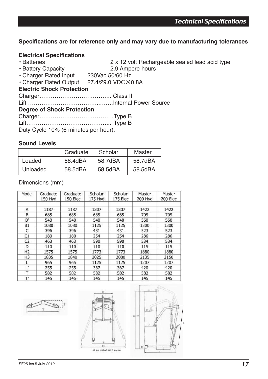### **Specifications are for reference only and may vary due to manufacturing tolerances**

# **Electrical Specifications**

- 2 x 12 volt Rechargeable sealed lead acid type<br>2.9 Ampere hours
- Battery Capacity 2.9 Amperent Pated Input 2.9 Amperent Pated Input 2.9 Amperent 2.9 Amperent 2.9 Amperent 2.9 Amperent 2.9 Amperent 2.9 Amperent 2.9 Amperent 2.9 Amperent 2.9 Amperent 2.9 Amperent 2.9 Amperent 2.9 Ampere
- $\cdot$  Charger Rated Input

• Charger Rated Output 27.4/29.0 VDC@0.8A

### **Electric Shock Protection**

Charger……………………………….. Class II

Lift ………………………………..…….Internal Power Source

### **Degree of Shock Protection**

| Duty Cyclo 10% (6 minutes per hour) |  |
|-------------------------------------|--|

Duty Cycle 10% (6 minutes per hour).

### **Sound Levels**

|          | Graduate | Scholar | Master  |
|----------|----------|---------|---------|
| Loaded   | 58.4dBA  | 58.7dBA | 58.7dBA |
| Unloaded | 58.5dBA  | 58.5dBA | 58.5dBA |

Dimensions (mm)

| Model          | Graduate<br>150 Hyd | Graduate<br>150 Elec | Scholar<br>175 Hyd | Scholar<br>175 Elec | Master<br>200 Hyd | Master<br>200 Elec |
|----------------|---------------------|----------------------|--------------------|---------------------|-------------------|--------------------|
|                |                     |                      |                    |                     |                   |                    |
| Α              | 1187                | 1187                 | 1307               | 1307                | 1422              | 1422               |
| B              | 685                 | 685                  | 685                | 685                 | 705               | 705                |
| B'             | 540                 | 540                  | 540                | 540                 | 560               | 560                |
| <b>B1</b>      | 1080                | 1080                 | 1125               | 1125                | 1300              | 1300               |
| C              | 396                 | 396                  | 431                | 431                 | 523               | 523                |
| C1             | 180                 | 180                  | 254                | 254                 | 286               | 286                |
| C <sub>2</sub> | 463                 | 463                  | 590                | 590                 | 534               | 534                |
| D              | 110                 | 110                  | 110                | 110                 | 115               | 115                |
| H <sub>2</sub> | 1575                | 1575                 | 1773               | 1773                | 1880              | 1880               |
| H <sub>3</sub> | 1835                | 1840                 | 2025               | 2080                | 2135              | 2150               |
| L              | 965                 | 965                  | 1125               | 1125                | 1207              | 1207               |
| Ľ              | 255                 | 255                  | 367                | 367                 | 420               | 420                |
| т              | 582                 | 582                  | 582                | 582                 | 582               | 582                |
| T'             | 145                 | 145                  | 145                | 145                 | 145               | 145                |





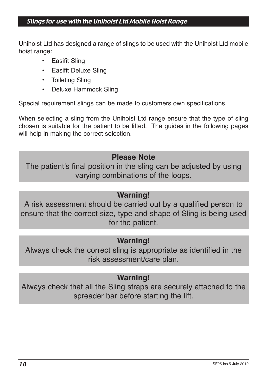# Slings for use with the Unihoist Ltd Mobile Hoist Range

Unihoist Ltd has designed a range of slings to be used with the Unihoist Ltd mobile hoist range:

- Easifit Sling
- Easifit Deluxe Sling
- Toileting Sling
- Deluxe Hammock Sling

Special requirement slings can be made to customers own specifications.

When selecting a sling from the Unihoist Ltd range ensure that the type of sling chosen is suitable for the patient to be lifted. The guides in the following pages will help in making the correct selection.

# **Please Note**

The patient's final position in the sling can be adjusted by using varying combinations of the loops.

# **Warning!**

A risk assessment should be carried out by a qualified person to ensure that the correct size, type and shape of Sling is being used for the patient.

# **Warning!**

Always check the correct sling is appropriate as identified in the risk assessment/care plan.

# **Warning!**

Always check that all the Sling straps are securely attached to the spreader bar before starting the lift.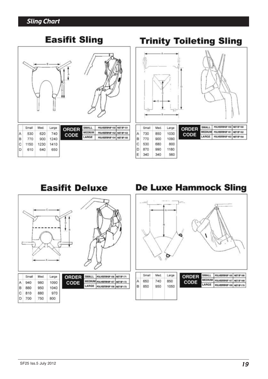### Sling Chart

b 610 640 650

# **Easifit Sling**



#### **Trinity Toileting Sling** SMALL | POLYESTERIE 159 NET EF 160 Small Med. Large ORDER MEDIUM POLYESTEREF 161 NET EF 162 A 730 850 1030 CODE LARGE POLYESTEREF 163 NET EF 164 B 770 900 1090 c 530 680 800 D 870 990 1180 F 340 340 560

**De Luxe Hammock Sling** 

**Easifit Deluxe** 

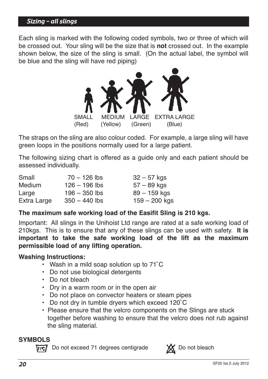### Sizing – all slings

Each sling is marked with the following coded symbols, two or three of which will be crossed out. Your sling will be the size that is **not** crossed out. In the example shown below, the size of the sling is small. (On the actual label, the symbol will be blue and the sling will have red piping)



The straps on the sling are also colour coded. For example, a large sling will have green loops in the positions normally used for a large patient.

The following sizing chart is offered as a guide only and each patient should be assessed individually.

| Small         | $70 - 126$ lbs  | $32 - 57$ kgs   |
|---------------|-----------------|-----------------|
| <b>Medium</b> | $126 - 196$ lbs | $57 - 89$ kgs   |
| Large         | $196 - 350$ lbs | 89 – 159 kgs    |
| Extra Large   | $350 - 440$ lbs | $159 - 200$ kgs |

### **The maximum safe working load of the Easifit Sling is 210 kgs.**

Important: All slings in the Unihoist Ltd range are rated at a safe working load of 210kgs. This is to ensure that any of these slings can be used with safety. **It is important to take the safe working load of the lift as the maximum permissible load of any lifting operation.**

### **Washing Instructions:**

- Wash in a mild soap solution up to 71˚C
- Do not use biological detergents
- Do not bleach
- Dry in a warm room or in the open air
- Do not place on convector heaters or steam pipes
- Do not dry in tumble dryers which exceed 120˚C
- Please ensure that the velcro components on the Slings are stuck together before washing to ensure that the velcro does not rub against the sling material.

### **SYMBOLS**

 $\overline{M}$  Do not exceed 71 degrees centigrade XX Do not bleach

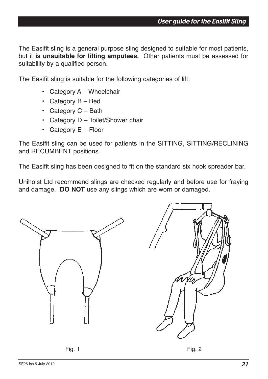The Easifit sling is a general purpose sling designed to suitable for most patients, but it **is unsuitable for lifting amputees.** Other patients must be assessed for suitability by a qualified person.

The Easifit sling is suitable for the following categories of lift:

- Category A Wheelchair
- Category  $B Bed$
- Category  $C -$  Bath
- Category D Toilet/Shower chair
- Category  $E -$  Floor

The Easifit sling can be used for patients in the SITTING, SITTING/RECLINING and RECUMBENT positions.

The Easifit sling has been designed to fit on the standard six hook spreader bar.

Unihoist Ltd recommend slings are checked regularly and before use for fraying and damage. **DO NOT** use any slings which are worn or damaged.

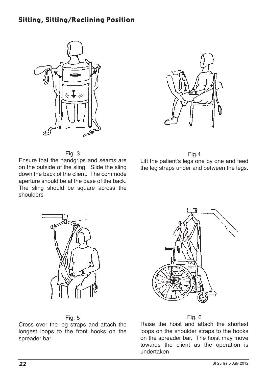### Sitting, Sitting/Reclining Position





Fig. 3

Ensure that the handgrips and seams are on the outside of the sling. Slide the sling down the back of the client. The commode aperture should be at the base of the back. The sling should be square across the shoulders

Fig.4 Lift the patient's legs one by one and feed the leg straps under and between the legs.







Cross over the leg straps and attach the longest loops to the front hooks on the spreader bar



Raise the hoist and attach the shortest loops on the shoulder straps to the hooks on the spreader bar. The hoist may move towards the client as the operation is undertaken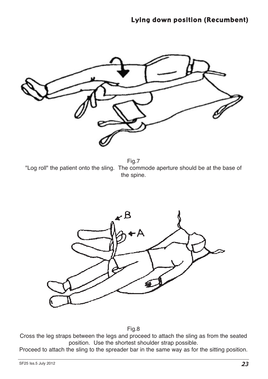

Fig.7 "Log roll" the patient onto the sling. The commode aperture should be at the base of the spine.



Fig.8

Cross the leg straps between the legs and proceed to attach the sling as from the seated position. Use the shortest shoulder strap possible.

Proceed to attach the sling to the spreader bar in the same way as for the sitting position.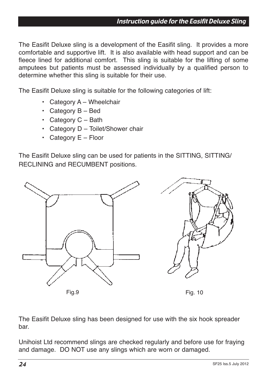The Easifit Deluxe sling is a development of the Easifit sling. It provides a more comfortable and supportive lift. It is also available with head support and can be fleece lined for additional comfort. This sling is suitable for the lifting of some amputees but patients must be assessed individually by a qualified person to determine whether this sling is suitable for their use.

The Easifit Deluxe sling is suitable for the following categories of lift:

- Category A Wheelchair
- Category B Bed
- Category  $C -$  Bath
- Category D Toilet/Shower chair
- Category E Floor

The Easifit Deluxe sling can be used for patients in the SITTING, SITTING/ RECLINING and RECUMBENT positions.



The Easifit Deluxe sling has been designed for use with the six hook spreader bar.

Unihoist Ltd recommend slings are checked regularly and before use for fraying and damage. DO NOT use any slings which are worn or damaged.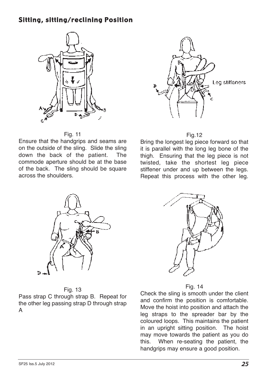### Sitting, sitting/reclining Position



Fig. 11

Ensure that the handgrips and seams are on the outside of the sling. Slide the sling down the back of the patient. The commode aperture should be at the base of the back. The sling should be square across the shoulders.





Bring the longest leg piece forward so that it is parallel with the long leg bone of the thigh. Ensuring that the leg piece is not twisted, take the shortest leg piece stiffener under and up between the legs. Repeat this process with the other leg.



#### Fig. 13

Pass strap C through strap B. Repeat for the other leg passing strap D through strap A



Fig. 14

Check the sling is smooth under the client and confirm the position is comfortable. Move the hoist into position and attach the leg straps to the spreader bar by the coloured loops. This maintains the patient in an upright sitting position. The hoist may move towards the patient as you do this. When re-seating the patient, the handgrips may ensure a good position.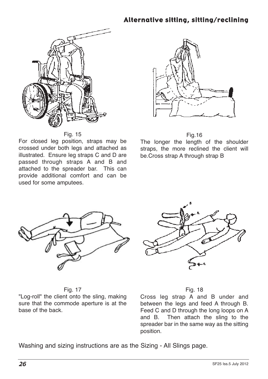# Alternative sitting, sitting/reclining



Fig. 15

For closed leg position, straps may be crossed under both legs and attached as illustrated. Ensure leg straps C and D are passed through straps A and B and attached to the spreader bar. This can provide additional comfort and can be used for some amputees.



Fig.16

The longer the length of the shoulder straps, the more reclined the client will be.Cross strap A through strap B



Fig. 17

"Log-roll" the client onto the sling, making sure that the commode aperture is at the base of the back.



#### Fig. 18

Cross leg strap A and B under and between the legs and feed A through B. Feed C and D through the long loops on A and B. Then attach the sling to the spreader bar in the same way as the sitting position.

Washing and sizing instructions are as the Sizing - All Slings page.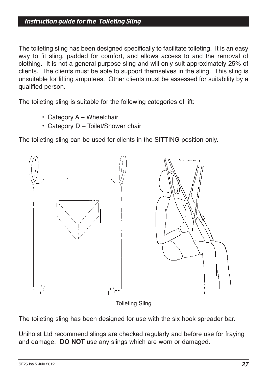### Instruction guide for the Toileting Sling

The toileting sling has been designed specifically to facilitate toileting. It is an easy way to fit sling, padded for comfort, and allows access to and the removal of clothing. It is not a general purpose sling and will only suit approximately 25% of clients. The clients must be able to support themselves in the sling. This sling is unsuitable for lifting amputees. Other clients must be assessed for suitability by a qualified person.

The toileting sling is suitable for the following categories of lift:

- Category A Wheelchair
- Category D Toilet/Shower chair

The toileting sling can be used for clients in the SITTING position only.



Toileting Sling

The toileting sling has been designed for use with the six hook spreader bar.

Unihoist Ltd recommend slings are checked regularly and before use for fraying and damage. **DO NOT** use any slings which are worn or damaged.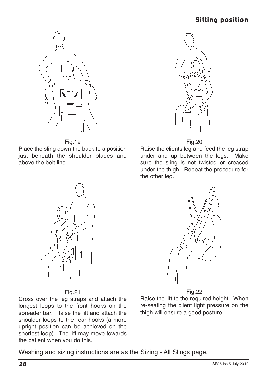# Sitting position





Place the sling down the back to a position just beneath the shoulder blades and above the belt line.



Fig.20

Raise the clients leg and feed the leg strap under and up between the legs. Make sure the sling is not twisted or creased under the thigh. Repeat the procedure for the other leg.



#### Fig.22

Raise the lift to the required height. When re-seating the client light pressure on the thigh will ensure a good posture.

### Fig.21

Cross over the leg straps and attach the longest loops to the front hooks on the spreader bar. Raise the lift and attach the shoulder loops to the rear hooks (a more upright position can be achieved on the shortest loop). The lift may move towards the patient when you do this.

Washing and sizing instructions are as the Sizing - All Slings page.

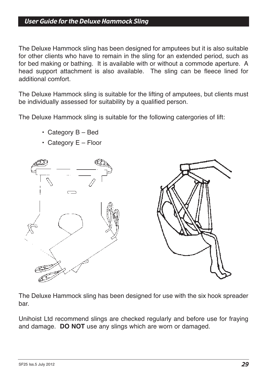### User Guide for the Deluxe Hammock Sling

The Deluxe Hammock sling has been designed for amputees but it is also suitable for other clients who have to remain in the sling for an extended period, such as for bed making or bathing. It is available with or without a commode aperture. A head support attachment is also available. The sling can be fleece lined for additional comfort.

The Deluxe Hammock sling is suitable for the lifting of amputees, but clients must be individually assessed for suitability by a qualified person.

The Deluxe Hammock sling is suitable for the following catergories of lift:

- Category B Bed
- Category E Floor



The Deluxe Hammock sling has been designed for use with the six hook spreader bar.

Unihoist Ltd recommend slings are checked regularly and before use for fraying and damage. **DO NOT** use any slings which are worn or damaged.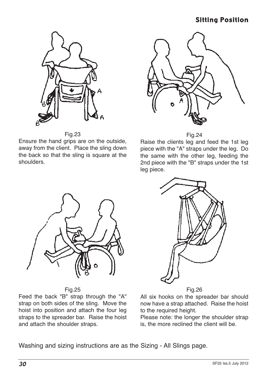# Sitting Position



Fig.23

Ensure the hand grips are on the outside, away from the client. Place the sling down the back so that the sling is square at the shoulders.



Raise the clients leg and feed the 1st leg piece with the "A" straps under the leg. Do the same with the other leg, feeding the 2nd piece with the "B" straps under the 1st leg piece.



Fig.25

Feed the back "B" strap through the "A" strap on both sides of the sling. Move the hoist into position and attach the four leg straps to the spreader bar. Raise the hoist and attach the shoulder straps.



Fig.26

All six hooks on the spreader bar should now have a strap attached. Raise the hoist to the required height.

Please note: the longer the shoulder strap is, the more reclined the client will be.

Washing and sizing instructions are as the Sizing - All Slings page.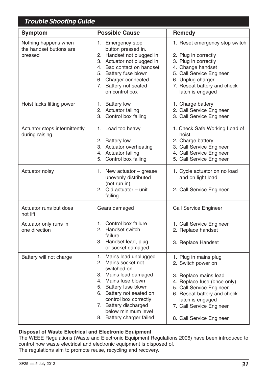| Trouble Shooting Guide                                     |                                                                                                                                                                                                                                                                          |                                                                                                                                                                                                                                            |  |  |  |
|------------------------------------------------------------|--------------------------------------------------------------------------------------------------------------------------------------------------------------------------------------------------------------------------------------------------------------------------|--------------------------------------------------------------------------------------------------------------------------------------------------------------------------------------------------------------------------------------------|--|--|--|
| Symptom                                                    | <b>Possible Cause</b>                                                                                                                                                                                                                                                    | Remedy                                                                                                                                                                                                                                     |  |  |  |
| Nothing happens when<br>the handset buttons are<br>pressed | 1. Emergency stop<br>button pressed in.<br>2. Handset not plugged in<br>3. Actuator not plugged in<br>4. Bad contact on handset<br>5. Battery fuse blown<br>6. Charger connected<br>7. Battery not seated<br>on control box                                              | 1. Reset emergency stop switch<br>2. Plug in correctly<br>3. Plug in correctly<br>4. Change handset<br>5. Call Service Engineer<br>6. Unplug charger<br>7. Reseat battery and check<br>latch is engaged                                    |  |  |  |
| Hoist lacks lifting power                                  | 1. Battery low<br>2. Actuator failing<br>3. Control box failing                                                                                                                                                                                                          | 1. Charge battery<br>2. Call Service Engineer<br>3. Call Service Engineer                                                                                                                                                                  |  |  |  |
| Actuator stops intermittently<br>during raising            | 1. Load too heavy<br>2. Battery low<br>3. Actuator overheating<br>4. Actuator failing<br>5. Control box failing                                                                                                                                                          | 1. Check Safe Working Load of<br>hoist<br>2. Charge battery<br>3. Call Service Engineer<br>4. Call Service Engineer<br>5. Call Service Engineer                                                                                            |  |  |  |
| Actuator noisy                                             | 1. New actuator $-$ grease<br>unevenly distributed<br>(not run in)<br>2. Old actuator - unit<br>failing                                                                                                                                                                  | 1. Cycle actuator on no load<br>and on light load<br>2. Call Service Engineer                                                                                                                                                              |  |  |  |
| Actuator runs but does<br>not lift                         | Gears damaged                                                                                                                                                                                                                                                            | Call Service Engineer                                                                                                                                                                                                                      |  |  |  |
| Actuator only runs in<br>one direction                     | 1. Control box failure<br>2. Handset switch<br>failure<br>3. Handset lead, plug<br>or socket damaged                                                                                                                                                                     | 1. Call Service Engineer<br>2. Replace handset<br>3. Replace Handset                                                                                                                                                                       |  |  |  |
| Battery will not charge                                    | 1. Mains lead unplugged<br>2. Mains socket not<br>switched on<br>3. Mains lead damaged<br>4. Mains fuse blown<br>5. Battery fuse blown<br>6. Battery not seated on<br>control box correctly<br>7. Battery discharged<br>below minimum level<br>8. Battery charger failed | 1. Plug in mains plug<br>2. Switch power on<br>3. Replace mains lead<br>4. Replace fuse (once only)<br>5. Call Service Engineer<br>6. Reseat battery and check<br>latch is engaged<br>7. Call Service Engineer<br>8. Call Service Engineer |  |  |  |

#### **Disposal of Waste Electrical and Electronic Equipment**

The WEEE Regulations (Waste and Electronic Equipment Regulations 2006) have been introduced to control how waste electrical and electronic equipment is disposed of. The regulations aim to promote reuse, recycling and recovery.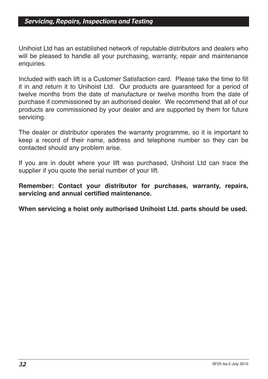### Servicing, Repairs, Inspections and Testing

Unihoist Ltd has an established network of reputable distributors and dealers who will be pleased to handle all your purchasing, warranty, repair and maintenance enquiries.

Included with each lift is a Customer Satisfaction card. Please take the time to fill it in and return it to Unihoist Ltd. Our products are guaranteed for a period of twelve months from the date of manufacture or twelve months from the date of purchase if commissioned by an authorised dealer. We recommend that all of our products are commissioned by your dealer and are supported by them for future servicing.

The dealer or distributor operates the warranty programme, so it is important to keep a record of their name, address and telephone number so they can be contacted should any problem arise.

If you are in doubt where your lift was purchased, Unihoist Ltd can trace the supplier if you quote the serial number of your lift.

**Remember: Contact your distributor for purchases, warranty, repairs, servicing and annual certified maintenance.**

**When servicing a hoist only authorised Unihoist Ltd. parts should be used.**